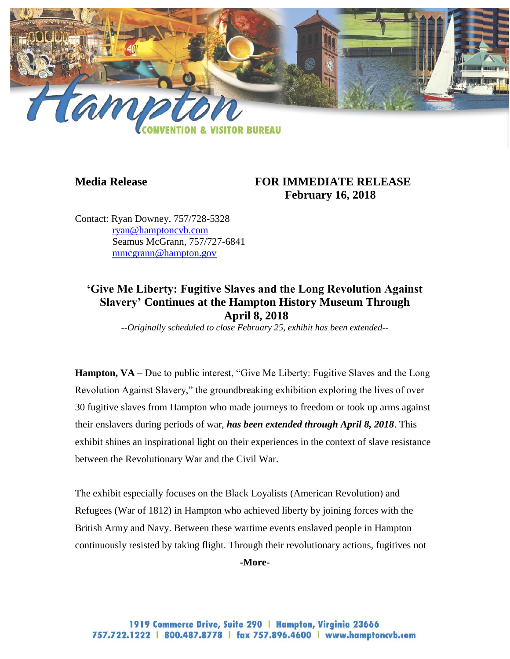

## **Media Release FOR IMMEDIATE RELEASE February 16, 2018**

Contact: Ryan Downey, 757/728-5328 [ryan@hamptoncvb.com](mailto:ryan@hamptoncvb.com) Seamus McGrann, 757/727-6841 [mmcgrann@hampton.gov](mailto:mmcgrann@hampton.gov)

# **'Give Me Liberty: Fugitive Slaves and the Long Revolution Against Slavery' Continues at the Hampton History Museum Through April 8, 2018**

*--Originally scheduled to close February 25, exhibit has been extended--*

**Hampton, VA** – Due to public interest, "Give Me Liberty: Fugitive Slaves and the Long Revolution Against Slavery," the groundbreaking exhibition exploring the lives of over 30 fugitive slaves from Hampton who made journeys to freedom or took up arms against their enslavers during periods of war, *has been extended through April 8, 2018*. This exhibit shines an inspirational light on their experiences in the context of slave resistance between the Revolutionary War and the Civil War.

The exhibit especially focuses on the Black Loyalists (American Revolution) and Refugees (War of 1812) in Hampton who achieved liberty by joining forces with the British Army and Navy. Between these wartime events enslaved people in Hampton continuously resisted by taking flight. Through their revolutionary actions, fugitives not

**-More-**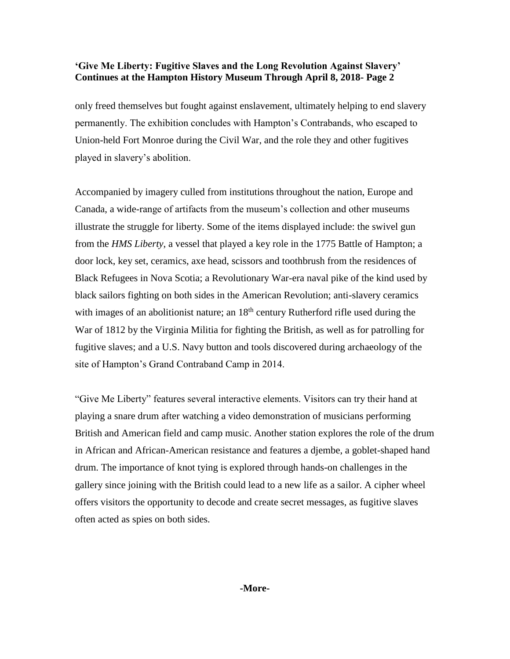### **'Give Me Liberty: Fugitive Slaves and the Long Revolution Against Slavery' Continues at the Hampton History Museum Through April 8, 2018- Page 2**

only freed themselves but fought against enslavement, ultimately helping to end slavery permanently. The exhibition concludes with Hampton's Contrabands, who escaped to Union-held Fort Monroe during the Civil War, and the role they and other fugitives played in slavery's abolition.

Accompanied by imagery culled from institutions throughout the nation, Europe and Canada, a wide-range of artifacts from the museum's collection and other museums illustrate the struggle for liberty. Some of the items displayed include: the swivel gun from the *HMS Liberty*, a vessel that played a key role in the 1775 Battle of Hampton; a door lock, key set, ceramics, axe head, scissors and toothbrush from the residences of Black Refugees in Nova Scotia; a Revolutionary War-era naval pike of the kind used by black sailors fighting on both sides in the American Revolution; anti-slavery ceramics with images of an abolitionist nature; an  $18<sup>th</sup>$  century Rutherford rifle used during the War of 1812 by the Virginia Militia for fighting the British, as well as for patrolling for fugitive slaves; and a U.S. Navy button and tools discovered during archaeology of the site of Hampton's Grand Contraband Camp in 2014.

"Give Me Liberty" features several interactive elements. Visitors can try their hand at playing a snare drum after watching a video demonstration of musicians performing British and American field and camp music. Another station explores the role of the drum in African and African-American resistance and features a djembe, a goblet-shaped hand drum. The importance of knot tying is explored through hands-on challenges in the gallery since joining with the British could lead to a new life as a sailor. A cipher wheel offers visitors the opportunity to decode and create secret messages, as fugitive slaves often acted as spies on both sides.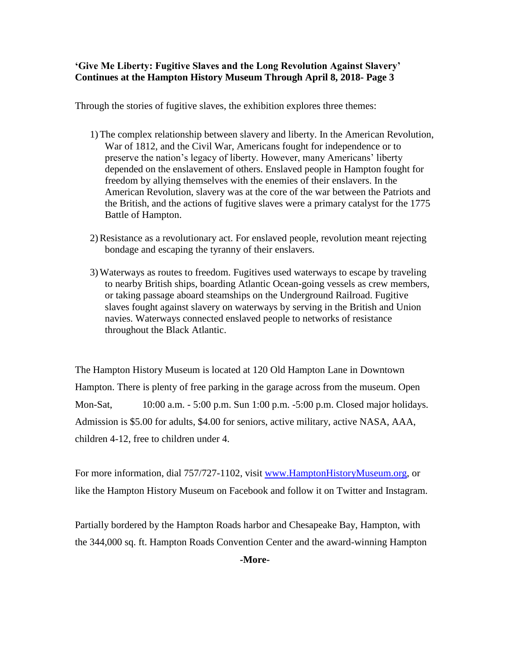**'Give Me Liberty: Fugitive Slaves and the Long Revolution Against Slavery' Continues at the Hampton History Museum Through April 8, 2018- Page 3**

Through the stories of fugitive slaves, the exhibition explores three themes:

- 1)The complex relationship between slavery and liberty. In the American Revolution, War of 1812, and the Civil War, Americans fought for independence or to preserve the nation's legacy of liberty. However, many Americans' liberty depended on the enslavement of others. Enslaved people in Hampton fought for freedom by allying themselves with the enemies of their enslavers. In the American Revolution, slavery was at the core of the war between the Patriots and the British, and the actions of fugitive slaves were a primary catalyst for the 1775 Battle of Hampton.
- 2)Resistance as a revolutionary act. For enslaved people, revolution meant rejecting bondage and escaping the tyranny of their enslavers.
- 3)Waterways as routes to freedom. Fugitives used waterways to escape by traveling to nearby British ships, boarding Atlantic Ocean-going vessels as crew members, or taking passage aboard steamships on the Underground Railroad. Fugitive slaves fought against slavery on waterways by serving in the British and Union navies. Waterways connected enslaved people to networks of resistance throughout the Black Atlantic.

The Hampton History Museum is located at 120 Old Hampton Lane in Downtown Hampton. There is plenty of free parking in the garage across from the museum. Open Mon-Sat, 10:00 a.m. - 5:00 p.m. Sun 1:00 p.m. -5:00 p.m. Closed major holidays. Admission is \$5.00 for adults, \$4.00 for seniors, active military, active NASA, AAA, children 4-12, free to children under 4.

For more information, dial 757/727-1102, visit [www.HamptonHistoryMuseum.org,](http://www.hamptonhistorymuseum.org/) or like the Hampton History Museum on Facebook and follow it on Twitter and Instagram.

Partially bordered by the Hampton Roads harbor and Chesapeake Bay, Hampton, with the 344,000 sq. ft. Hampton Roads Convention Center and the award-winning Hampton

**-More-**